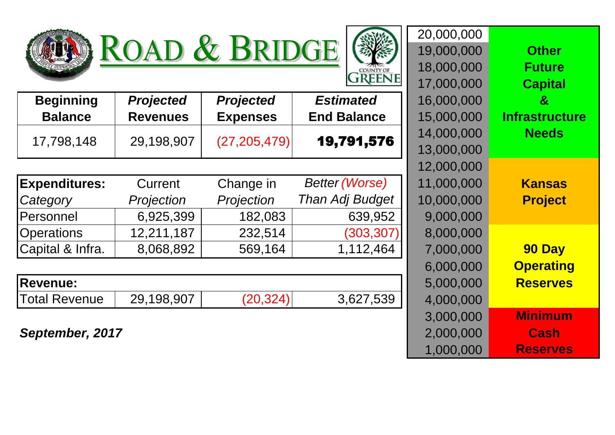

| <b>OUNTY OF</b><br>CC |
|-----------------------|

|                      | IWAD             | C DIMDUL<br>$\sim$ $\sim$ | , , , , , , , , , , , , , , , , |            |                       |
|----------------------|------------------|---------------------------|---------------------------------|------------|-----------------------|
|                      |                  |                           | COUNTY OF<br><b>REENE</b>       | 18,000,000 | <b>Future</b>         |
|                      |                  |                           |                                 | 17,000,000 | <b>Capital</b>        |
| <b>Beginning</b>     | <b>Projected</b> | <b>Projected</b>          | <b>Estimated</b>                | 16,000,000 | $\boldsymbol{\alpha}$ |
| <b>Balance</b>       | <b>Revenues</b>  | <b>Expenses</b>           | <b>End Balance</b>              | 15,000,000 | <b>Infrastructure</b> |
| 17,798,148           | 29,198,907       | (27, 205, 479)            | 19,791,576                      | 14,000,000 | <b>Needs</b>          |
|                      |                  |                           |                                 | 13,000,000 |                       |
|                      |                  |                           |                                 | 12,000,000 |                       |
| <b>Expenditures:</b> | Current          | Change in                 | <b>Better (Worse)</b>           | 11,000,000 | <b>Kansas</b>         |
| Category             | Projection       | Projection                | <b>Than Adj Budget</b>          | 10,000,000 | <b>Project</b>        |
| Personnel            | 6,925,399        | 182,083                   | 639,952                         | 9,000,000  |                       |
| <b>Operations</b>    | 12,211,187       | 232,514                   | (303, 307)                      | 8,000,000  |                       |
| Capital & Infra.     | 8,068,892        | 569,164                   | 1,112,464                       | 7,000,000  | 90 Day                |
|                      |                  |                           |                                 | 6,000,000  | <b>Operating</b>      |
| <b>Revenue:</b>      |                  |                           |                                 | 5,000,000  | <b>Reserves</b>       |
| <b>Total Revenue</b> | 29,198,907       | (20, 324)                 | 3,627,539                       | 4,000,000  |                       |
|                      |                  |                           |                                 | 3,000,000  | <b>Minimum</b>        |
| September, 2017      |                  |                           |                                 | 2,000,000  | <b>Cash</b>           |
|                      |                  |                           |                                 | 1,000,000  | <b>Reserves</b>       |

19,000,000 **Other**

20,000,000

| <b>Beginning</b>     | <b>Projected</b> | <b>Projected</b> | <b>Estimated</b>       | 16,000,000 | $\mathbf{g}$          |
|----------------------|------------------|------------------|------------------------|------------|-----------------------|
| <b>Balance</b>       | <b>Revenues</b>  | <b>Expenses</b>  | <b>End Balance</b>     | 15,000,000 | <b>Infrastructure</b> |
| 17,798,148           | 29,198,907       | (27, 205, 479)   | 19,791,576             | 14,000,000 | <b>Needs</b>          |
|                      |                  |                  |                        | 13,000,000 |                       |
|                      |                  |                  |                        | 12,000,000 |                       |
| <b>Expenditures:</b> | Current          | Change in        | <b>Better (Worse)</b>  | 11,000,000 | <b>Kansas</b>         |
| Category             | Projection       | Projection       | <b>Than Adj Budget</b> | 10,000,000 | <b>Project</b>        |
| <b>Personnel</b>     | 6,925,399        | 182,083          | 639,952                | 9,000,000  |                       |
| <b>Operations</b>    | 12,211,187       | 232,514          | (303, 307)             | 8,000,000  |                       |
| Capital & Infra.     | 8,068,892        | 569,164          | 1,112,464              | 7,000,000  | 90 Day                |
|                      |                  |                  |                        | 6,000,000  | <b>Operating</b>      |

| IIIGVUIIUG.    |            |           | J.UUU.UUU |
|----------------|------------|-----------|-----------|
| `Total Revenue | 29.198.907 | 3,627,539 | 4.000.000 |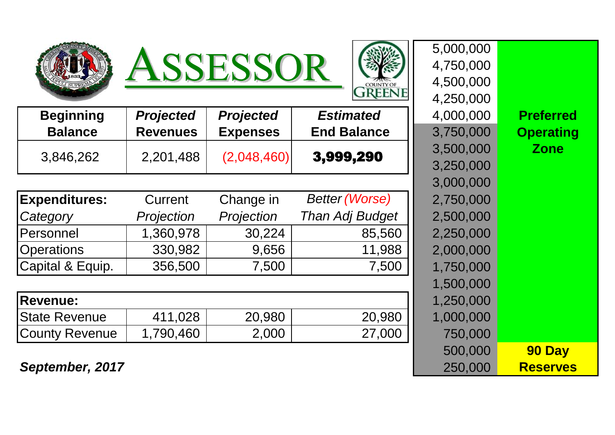





|                  | 5,000,000 |
|------------------|-----------|
|                  | 4,750,000 |
|                  | 4,500,000 |
|                  | 4,250,000 |
| <b>Preferred</b> | 4,000,000 |
| <b>Operating</b> | 3,750,000 |
| <b>Zone</b>      | 3,500,000 |
|                  | 3,250,000 |
|                  | 3,000,000 |
|                  | 2,750,000 |
|                  | 2,500,000 |
|                  | 2,250,000 |
|                  | 2,000,000 |
|                  | 1,750,000 |
|                  | 1,500,000 |
|                  | 1,250,000 |
|                  | 1,000,000 |
|                  | 750,000   |
| 90 Day           | 500,000   |
| <b>Reserves</b>  | 250,000   |

| <b>Beginning</b><br><b>Balance</b> | <b>Projected</b><br><b>Revenues</b> | <b>Projected</b><br><b>Expenses</b> | <b>Estimated</b><br><b>End Balance</b> | 4,000,000<br>3,750,000 | <b>Preferred</b><br><b>Operating</b> |
|------------------------------------|-------------------------------------|-------------------------------------|----------------------------------------|------------------------|--------------------------------------|
| 3,846,262                          | 2,201,488                           | (2,048,460)                         | 3,999,290                              | 3,500,000<br>3,250,000 | <b>Zone</b>                          |
|                                    |                                     |                                     |                                        | 3.000.000              |                                      |

| <b>Expenditures:</b> | Current    | Change in  | <b>Better (Worse)</b>  | 2,750,000 |
|----------------------|------------|------------|------------------------|-----------|
| Category             | Projection | Projection | <b>Than Adj Budget</b> | 2,500,000 |
| Personnel            | 1,360,978  | 30,224     | 85,560                 | 2,250,000 |
| <b>Operations</b>    | 330,982    | 9,656      | 11,988                 | 2,000,000 |
| Capital & Equip.     | 356,500    | 7,500      | 7,500                  | 1,750,000 |
|                      |            |            |                        | 1.500.000 |

| <b>Revenue:</b>       |           |        |        | 1,250,000 |
|-----------------------|-----------|--------|--------|-----------|
| <b>IState Revenue</b> | 411,028   | 20,980 | 20,980 | 1,000,000 |
| County Revenue        | 1,790,460 | 2,000  | 27,000 | 750,000   |

**September, 2017**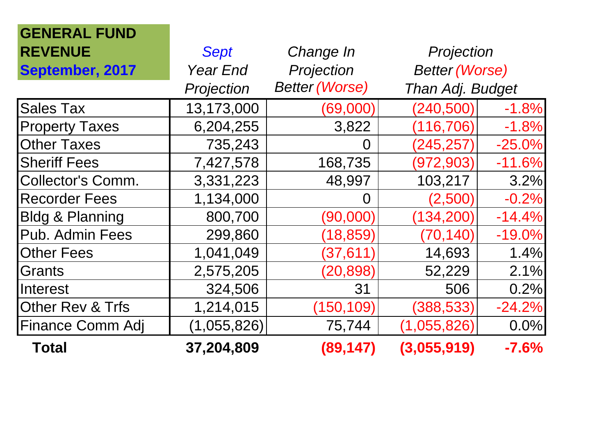| <b>GENERAL FUND</b>        |                 |                       |                       |          |
|----------------------------|-----------------|-----------------------|-----------------------|----------|
| <b>REVENUE</b>             | <b>Sept</b>     | Change In             | Projection            |          |
| September, 2017            | <b>Year End</b> | Projection            | <b>Better (Worse)</b> |          |
|                            | Projection      | <b>Better (Worse)</b> | Than Adj. Budget      |          |
| <b>Sales Tax</b>           | 13,173,000      | (69,000)              | (240, 500)            | $-1.8%$  |
| <b>Property Taxes</b>      | 6,204,255       | 3,822                 | (116, 706)            | $-1.8%$  |
| <b>Other Taxes</b>         | 735,243         | O                     | (245, 257)            | $-25.0%$ |
| <b>Sheriff Fees</b>        | 7,427,578       | 168,735               | (972, 903)            | $-11.6%$ |
| <b>Collector's Comm.</b>   | 3,331,223       | 48,997                | 103,217               | 3.2%     |
| <b>Recorder Fees</b>       | 1,134,000       | $\Omega$              | (2,500)               | $-0.2%$  |
| <b>Bldg &amp; Planning</b> | 800,700         | (90,000)              | (134, 200)            | $-14.4%$ |
| Pub. Admin Fees            | 299,860         | (18, 859)             | (70, 140)             | $-19.0%$ |
| <b>Other Fees</b>          | 1,041,049       | (37, 611)             | 14,693                | 1.4%     |
| Grants                     | 2,575,205       | (20, 898)             | 52,229                | 2.1%     |
| Interest                   | 324,506         | 31                    | 506                   | 0.2%     |
| Other Rev & Trfs           | 1,214,015       | (150, 109)            | (388, 533)            | $-24.2%$ |
| <b>Finance Comm Adj</b>    | (1,055,826)     | 75,744                | (1,055,826)           | 0.0%     |
| <b>Total</b>               | 37,204,809      | (89, 147)             | (3,055,919)           | $-7.6%$  |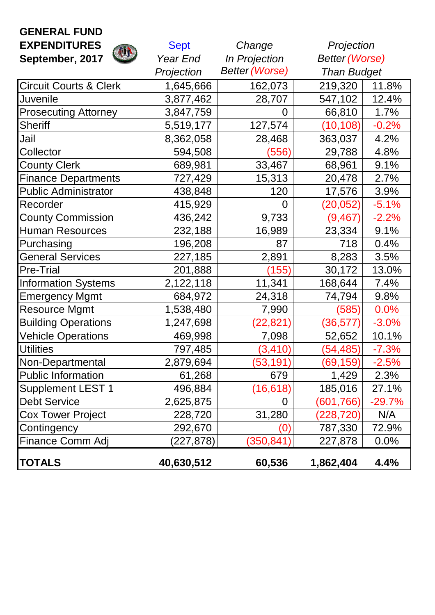| <b>GENERAL FUND</b>               |                 |                       |                       |          |
|-----------------------------------|-----------------|-----------------------|-----------------------|----------|
| <b>EXPENDITURES</b>               | <b>Sept</b>     | Change                | Projection            |          |
| September, 2017                   | <b>Year End</b> | <b>In Projection</b>  | <b>Better (Worse)</b> |          |
|                                   | Projection      | <b>Better (Worse)</b> | <b>Than Budget</b>    |          |
| <b>Circuit Courts &amp; Clerk</b> | 1,645,666       | 162,073               | 219,320               | 11.8%    |
| <b>Juvenile</b>                   | 3,877,462       | 28,707                | 547,102               | 12.4%    |
| <b>Prosecuting Attorney</b>       | 3,847,759       | $\overline{0}$        | 66,810                | 1.7%     |
| <b>Sheriff</b>                    | 5,519,177       | 127,574               | (10, 108)             | $-0.2%$  |
| <b>Jail</b>                       | 8,362,058       | 28,468                | 363,037               | 4.2%     |
| <b>Collector</b>                  | 594,508         | (556)                 | 29,788                | 4.8%     |
| <b>County Clerk</b>               | 689,981         | 33,467                | 68,961                | 9.1%     |
| <b>Finance Departments</b>        | 727,429         | 15,313                | 20,478                | 2.7%     |
| <b>Public Administrator</b>       | 438,848         | 120                   | 17,576                | 3.9%     |
| Recorder                          | 415,929         | $\Omega$              | (20, 052)             | $-5.1%$  |
| <b>County Commission</b>          | 436,242         | 9,733                 | (9, 467)              | $-2.2%$  |
| Human Resources                   | 232,188         | 16,989                | 23,334                | 9.1%     |
| Purchasing                        | 196,208         | 87                    | 718                   | 0.4%     |
| <b>General Services</b>           | 227,185         | 2,891                 | 8,283                 | 3.5%     |
| <b>Pre-Trial</b>                  | 201,888         | (155)                 | 30,172                | 13.0%    |
| <b>Information Systems</b>        | 2,122,118       | 11,341                | 168,644               | 7.4%     |
| <b>Emergency Mgmt</b>             | 684,972         | 24,318                | 74,794                | 9.8%     |
| <b>Resource Mgmt</b>              | 1,538,480       | 7,990                 | (585)                 | 0.0%     |
| <b>Building Operations</b>        | 1,247,698       | (22,821               | (36, 577)             | $-3.0%$  |
| <b>Vehicle Operations</b>         | 469,998         | 7,098                 | 52,652                | 10.1%    |
| <b>Utilities</b>                  | 797,485         | (3, 410)              | (54, 485)             | $-7.3%$  |
| Non-Departmental                  | 2,879,694       | (53, 191)             | (69, 159)             | $-2.5%$  |
| <b>Public Information</b>         | 61,268          | 679                   | 1,429                 | 2.3%     |
| <b>Supplement LEST 1</b>          | 496,884         | (16, 618)             | 185,016               | 27.1%    |
| Debt Service                      | 2,625,875       | $\Omega$              | (601, 766)            | $-29.7%$ |
| <b>Cox Tower Project</b>          | 228,720         | 31,280                | (228, 720)            | N/A      |
| <b>Contingency</b>                | 292,670         | $\Omega$              | 787,330               | 72.9%    |
| <b>Finance Comm Adj</b>           | (227, 878)      | (350, 841)            | 227,878               | 0.0%     |
| <b>TOTALS</b>                     | 40,630,512      | 60,536                | 1,862,404             | 4.4%     |